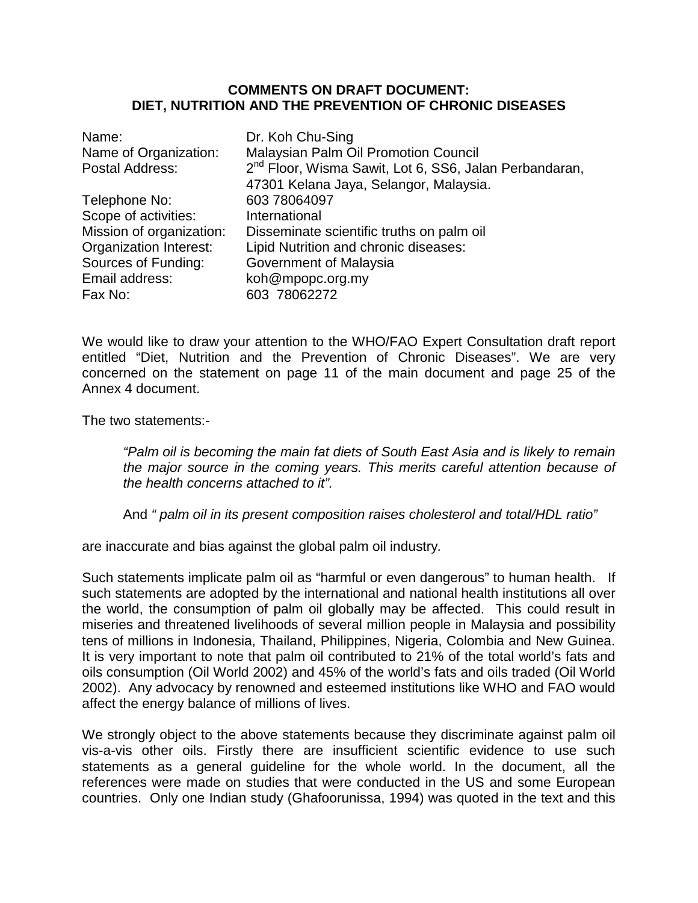## **COMMENTS ON DRAFT DOCUMENT: DIET, NUTRITION AND THE PREVENTION OF CHRONIC DISEASES**

| Name:                    | Dr. Koh Chu-Sing                                                   |
|--------------------------|--------------------------------------------------------------------|
| Name of Organization:    | <b>Malaysian Palm Oil Promotion Council</b>                        |
| Postal Address:          | 2 <sup>nd</sup> Floor, Wisma Sawit, Lot 6, SS6, Jalan Perbandaran, |
|                          | 47301 Kelana Jaya, Selangor, Malaysia.                             |
| Telephone No:            | 603 78064097                                                       |
| Scope of activities:     | International                                                      |
| Mission of organization: | Disseminate scientific truths on palm oil                          |
| Organization Interest:   | Lipid Nutrition and chronic diseases:                              |
| Sources of Funding:      | Government of Malaysia                                             |
| Email address:           | koh@mpopc.org.my                                                   |
| Fax No:                  | 603 78062272                                                       |

We would like to draw your attention to the WHO/FAO Expert Consultation draft report entitled "Diet, Nutrition and the Prevention of Chronic Diseases". We are very concerned on the statement on page 11 of the main document and page 25 of the Annex 4 document.

The two statements:-

*"Palm oil is becoming the main fat diets of South East Asia and is likely to remain the major source in the coming years. This merits careful attention because of the health concerns attached to it".*

And *" palm oil in its present composition raises cholesterol and total/HDL ratio"*

are inaccurate and bias against the global palm oil industry*.*

Such statements implicate palm oil as "harmful or even dangerous" to human health. If such statements are adopted by the international and national health institutions all over the world, the consumption of palm oil globally may be affected. This could result in miseries and threatened livelihoods of several million people in Malaysia and possibility tens of millions in Indonesia, Thailand, Philippines, Nigeria, Colombia and New Guinea. It is very important to note that palm oil contributed to 21% of the total world's fats and oils consumption (Oil World 2002) and 45% of the world's fats and oils traded (Oil World 2002). Any advocacy by renowned and esteemed institutions like WHO and FAO would affect the energy balance of millions of lives.

We strongly object to the above statements because they discriminate against palm oil vis-a-vis other oils. Firstly there are insufficient scientific evidence to use such statements as a general guideline for the whole world. In the document, all the references were made on studies that were conducted in the US and some European countries. Only one Indian study (Ghafoorunissa, 1994) was quoted in the text and this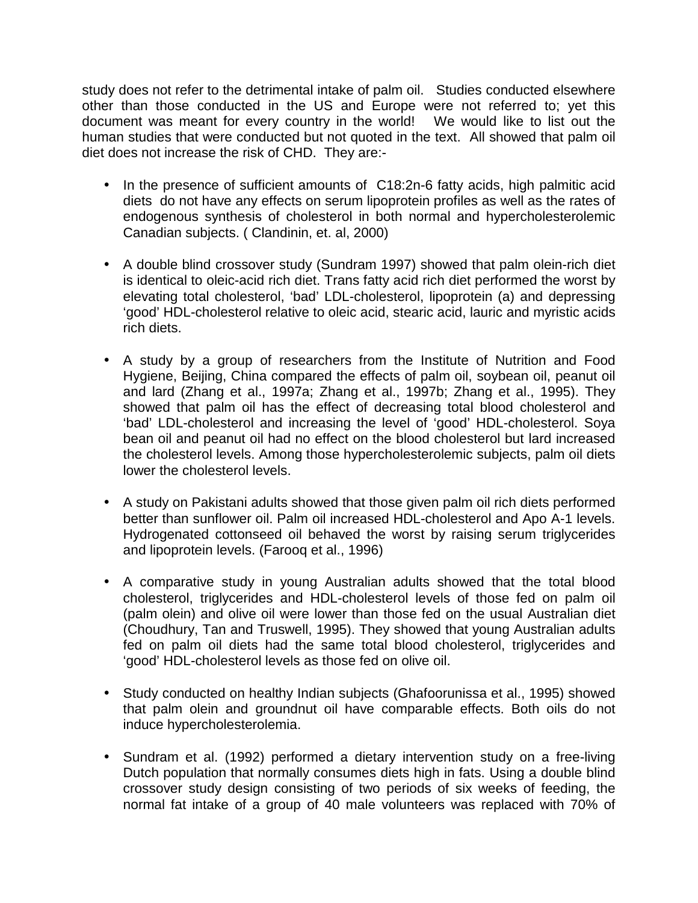study does not refer to the detrimental intake of palm oil. Studies conducted elsewhere other than those conducted in the US and Europe were not referred to; yet this document was meant for every country in the world! We would like to list out the human studies that were conducted but not quoted in the text. All showed that palm oil diet does not increase the risk of CHD. They are:-

- In the presence of sufficient amounts of C18:2n-6 fatty acids, high palmitic acid diets do not have any effects on serum lipoprotein profiles as well as the rates of endogenous synthesis of cholesterol in both normal and hypercholesterolemic Canadian subjects. ( Clandinin, et. al, 2000)
- A double blind crossover study (Sundram 1997) showed that palm olein-rich diet is identical to oleic-acid rich diet. Trans fatty acid rich diet performed the worst by elevating total cholesterol, 'bad' LDL-cholesterol, lipoprotein (a) and depressing 'good' HDL-cholesterol relative to oleic acid, stearic acid, lauric and myristic acids rich diets.
- A study by a group of researchers from the Institute of Nutrition and Food Hygiene, Beijing, China compared the effects of palm oil, soybean oil, peanut oil and lard (Zhang et al., 1997a; Zhang et al., 1997b; Zhang et al., 1995). They showed that palm oil has the effect of decreasing total blood cholesterol and 'bad' LDL-cholesterol and increasing the level of 'good' HDL-cholesterol. Soya bean oil and peanut oil had no effect on the blood cholesterol but lard increased the cholesterol levels. Among those hypercholesterolemic subjects, palm oil diets lower the cholesterol levels.
- A study on Pakistani adults showed that those given palm oil rich diets performed better than sunflower oil. Palm oil increased HDL-cholesterol and Apo A-1 levels. Hydrogenated cottonseed oil behaved the worst by raising serum triglycerides and lipoprotein levels. (Farooq et al., 1996)
- A comparative study in young Australian adults showed that the total blood cholesterol, triglycerides and HDL-cholesterol levels of those fed on palm oil (palm olein) and olive oil were lower than those fed on the usual Australian diet (Choudhury, Tan and Truswell, 1995). They showed that young Australian adults fed on palm oil diets had the same total blood cholesterol, triglycerides and 'good' HDL-cholesterol levels as those fed on olive oil.
- Study conducted on healthy Indian subjects (Ghafoorunissa et al., 1995) showed that palm olein and groundnut oil have comparable effects. Both oils do not induce hypercholesterolemia.
- Sundram et al. (1992) performed a dietary intervention study on a free-living Dutch population that normally consumes diets high in fats. Using a double blind crossover study design consisting of two periods of six weeks of feeding, the normal fat intake of a group of 40 male volunteers was replaced with 70% of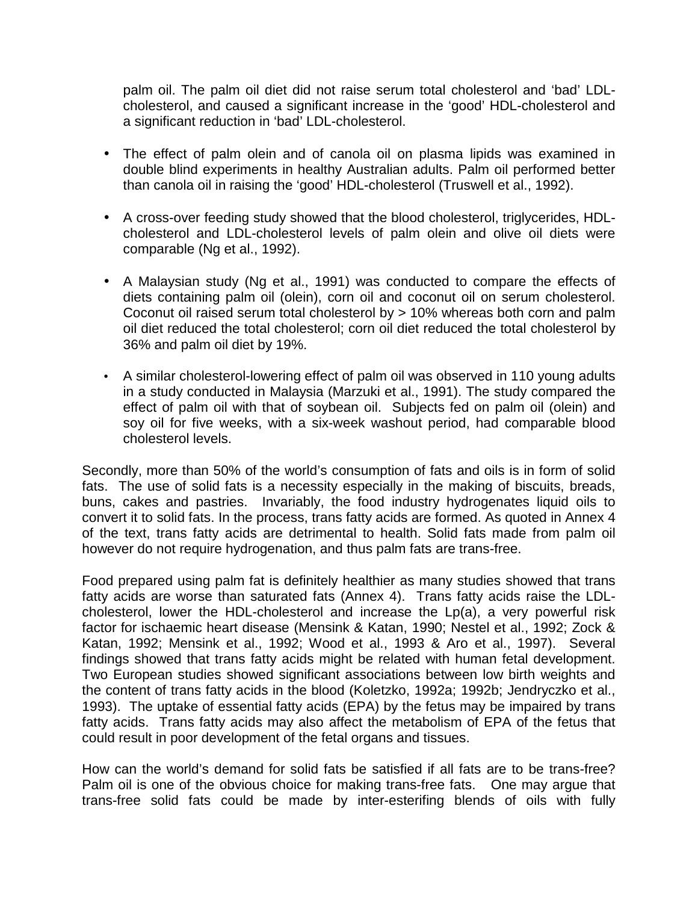palm oil. The palm oil diet did not raise serum total cholesterol and 'bad' LDLcholesterol, and caused a significant increase in the 'good' HDL-cholesterol and a significant reduction in 'bad' LDL-cholesterol.

- The effect of palm olein and of canola oil on plasma lipids was examined in double blind experiments in healthy Australian adults. Palm oil performed better than canola oil in raising the 'good' HDL-cholesterol (Truswell et al., 1992).
- A cross-over feeding study showed that the blood cholesterol, triglycerides, HDLcholesterol and LDL-cholesterol levels of palm olein and olive oil diets were comparable (Ng et al., 1992).
- A Malaysian study (Ng et al., 1991) was conducted to compare the effects of diets containing palm oil (olein), corn oil and coconut oil on serum cholesterol. Coconut oil raised serum total cholesterol by > 10% whereas both corn and palm oil diet reduced the total cholesterol; corn oil diet reduced the total cholesterol by 36% and palm oil diet by 19%.
- A similar cholesterol-lowering effect of palm oil was observed in 110 young adults in a study conducted in Malaysia (Marzuki et al., 1991). The study compared the effect of palm oil with that of soybean oil. Subjects fed on palm oil (olein) and soy oil for five weeks, with a six-week washout period, had comparable blood cholesterol levels.

Secondly, more than 50% of the world's consumption of fats and oils is in form of solid fats. The use of solid fats is a necessity especially in the making of biscuits, breads, buns, cakes and pastries. Invariably, the food industry hydrogenates liquid oils to convert it to solid fats. In the process, trans fatty acids are formed. As quoted in Annex 4 of the text, trans fatty acids are detrimental to health. Solid fats made from palm oil however do not require hydrogenation, and thus palm fats are trans-free.

Food prepared using palm fat is definitely healthier as many studies showed that trans fatty acids are worse than saturated fats (Annex 4). Trans fatty acids raise the LDLcholesterol, lower the HDL-cholesterol and increase the Lp(a), a very powerful risk factor for ischaemic heart disease (Mensink & Katan, 1990; Nestel et al., 1992; Zock & Katan, 1992; Mensink et al., 1992; Wood et al., 1993 & Aro et al., 1997). Several findings showed that trans fatty acids might be related with human fetal development. Two European studies showed significant associations between low birth weights and the content of trans fatty acids in the blood (Koletzko, 1992a; 1992b; Jendryczko et al., 1993). The uptake of essential fatty acids (EPA) by the fetus may be impaired by trans fatty acids. Trans fatty acids may also affect the metabolism of EPA of the fetus that could result in poor development of the fetal organs and tissues.

How can the world's demand for solid fats be satisfied if all fats are to be trans-free? Palm oil is one of the obvious choice for making trans-free fats. One may argue that trans-free solid fats could be made by inter-esterifing blends of oils with fully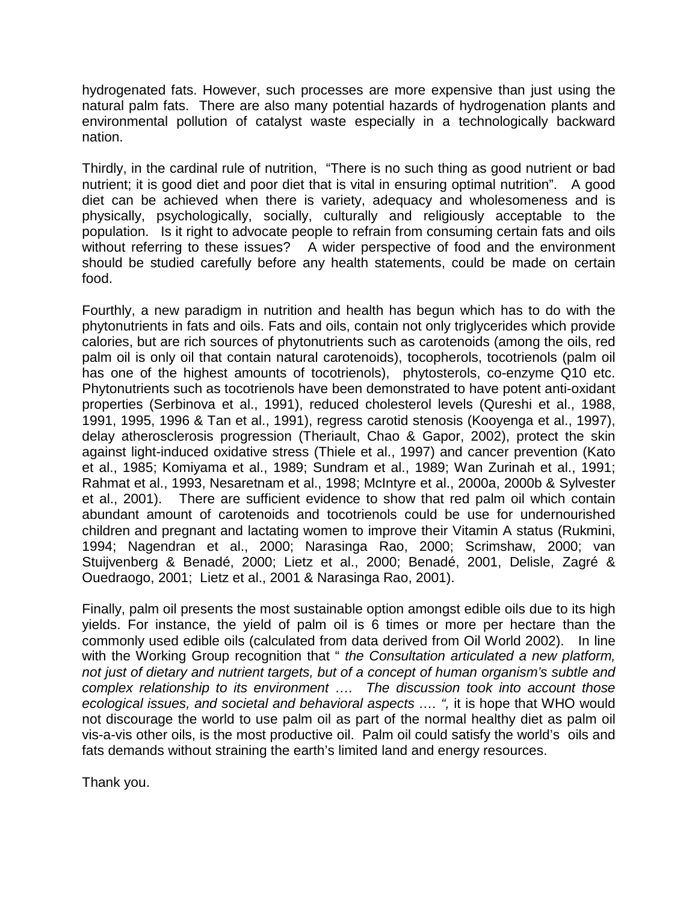hydrogenated fats. However, such processes are more expensive than just using the natural palm fats. There are also many potential hazards of hydrogenation plants and environmental pollution of catalyst waste especially in a technologically backward nation.

Thirdly, in the cardinal rule of nutrition, "There is no such thing as good nutrient or bad nutrient; it is good diet and poor diet that is vital in ensuring optimal nutrition". A good diet can be achieved when there is variety, adequacy and wholesomeness and is physically, psychologically, socially, culturally and religiously acceptable to the population. Is it right to advocate people to refrain from consuming certain fats and oils without referring to these issues? A wider perspective of food and the environment should be studied carefully before any health statements, could be made on certain food.

Fourthly, a new paradigm in nutrition and health has begun which has to do with the phytonutrients in fats and oils. Fats and oils, contain not only triglycerides which provide calories, but are rich sources of phytonutrients such as carotenoids (among the oils, red palm oil is only oil that contain natural carotenoids), tocopherols, tocotrienols (palm oil has one of the highest amounts of tocotrienols), phytosterols, co-enzyme Q10 etc. Phytonutrients such as tocotrienols have been demonstrated to have potent anti-oxidant properties (Serbinova et al., 1991), reduced cholesterol levels (Qureshi et al., 1988, 1991, 1995, 1996 & Tan et al., 1991), regress carotid stenosis (Kooyenga et al., 1997), delay atherosclerosis progression (Theriault, Chao & Gapor, 2002), protect the skin against light-induced oxidative stress (Thiele et al., 1997) and cancer prevention (Kato et al., 1985; Komiyama et al., 1989; Sundram et al., 1989; Wan Zurinah et al., 1991; Rahmat et al., 1993, Nesaretnam et al., 1998; McIntyre et al., 2000a, 2000b & Sylvester et al., 2001). There are sufficient evidence to show that red palm oil which contain abundant amount of carotenoids and tocotrienols could be use for undernourished children and pregnant and lactating women to improve their Vitamin A status (Rukmini, 1994; Nagendran et al., 2000; Narasinga Rao, 2000; Scrimshaw, 2000; van Stuijvenberg & Benadé, 2000; Lietz et al., 2000; Benadé, 2001, Delisle, Zagré & Ouedraogo, 2001; Lietz et al., 2001 & Narasinga Rao, 2001).

Finally, palm oil presents the most sustainable option amongst edible oils due to its high yields. For instance, the yield of palm oil is 6 times or more per hectare than the commonly used edible oils (calculated from data derived from Oil World 2002). In line with the Working Group recognition that " *the Consultation articulated a new platform, not just of dietary and nutrient targets, but of a concept of human organism's subtle and complex relationship to its environment …. The discussion took into account those ecological issues, and societal and behavioral aspects .... ", it is hope that WHO would* not discourage the world to use palm oil as part of the normal healthy diet as palm oil vis-a-vis other oils, is the most productive oil. Palm oil could satisfy the world's oils and fats demands without straining the earth's limited land and energy resources.

Thank you.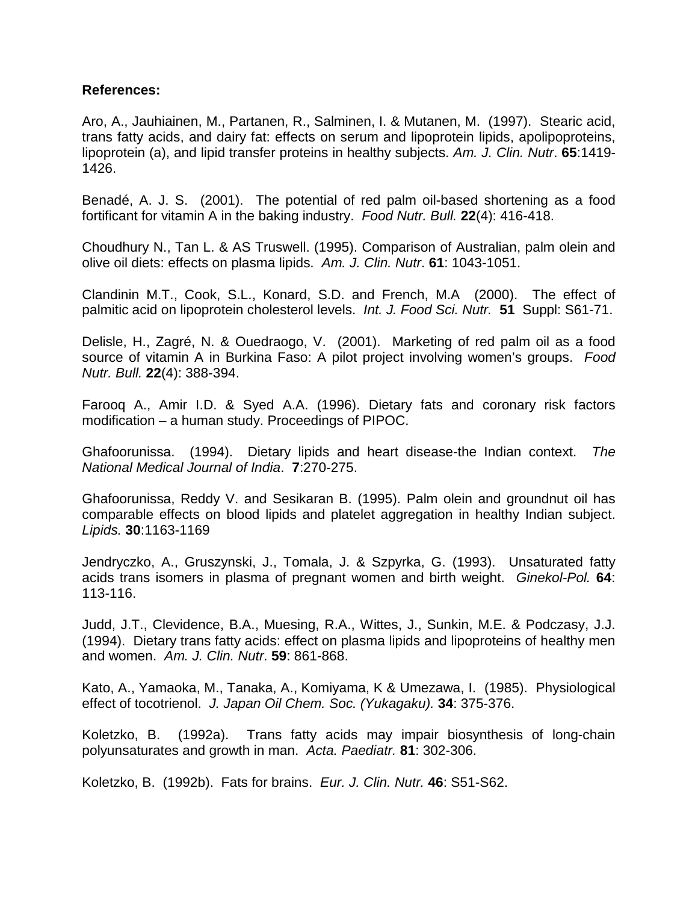## **References:**

Aro, A., Jauhiainen, M., Partanen, R., Salminen, I. & Mutanen, M. (1997). Stearic acid, trans fatty acids, and dairy fat: effects on serum and lipoprotein lipids, apolipoproteins, lipoprotein (a), and lipid transfer proteins in healthy subjects. *Am. J. Clin. Nutr*. **65**:1419- 1426.

Benadé, A. J. S. (2001). The potential of red palm oil-based shortening as a food fortificant for vitamin A in the baking industry. *Food Nutr. Bull.* **22**(4): 416-418.

Choudhury N., Tan L. & AS Truswell. (1995). Comparison of Australian, palm olein and olive oil diets: effects on plasma lipids. *Am. J. Clin. Nutr*. **61**: 1043-1051.

Clandinin M.T., Cook, S.L., Konard, S.D. and French, M.A (2000). The effect of palmitic acid on lipoprotein cholesterol levels. *Int. J. Food Sci. Nutr.* **51** Suppl: S61-71.

Delisle, H., Zagré, N. & Ouedraogo, V. (2001). Marketing of red palm oil as a food source of vitamin A in Burkina Faso: A pilot project involving women's groups. *Food Nutr. Bull.* **22**(4): 388-394.

Farooq A., Amir I.D. & Syed A.A. (1996). Dietary fats and coronary risk factors modification – a human study. Proceedings of PIPOC.

Ghafoorunissa. (1994). Dietary lipids and heart disease-the Indian context. *The National Medical Journal of India*. **7**:270-275.

Ghafoorunissa, Reddy V. and Sesikaran B. (1995). Palm olein and groundnut oil has comparable effects on blood lipids and platelet aggregation in healthy Indian subject. *Lipids.* **30**:1163-1169

Jendryczko, A., Gruszynski, J., Tomala, J. & Szpyrka, G. (1993). Unsaturated fatty acids trans isomers in plasma of pregnant women and birth weight. *Ginekol-Pol.* **64**: 113-116.

Judd, J.T., Clevidence, B.A., Muesing, R.A., Wittes, J., Sunkin, M.E. & Podczasy, J.J. (1994). Dietary trans fatty acids: effect on plasma lipids and lipoproteins of healthy men and women. *Am. J. Clin. Nutr*. **59**: 861-868.

Kato, A., Yamaoka, M., Tanaka, A., Komiyama, K & Umezawa, I. (1985). Physiological effect of tocotrienol. *J. Japan Oil Chem. Soc. (Yukagaku).* **34**: 375-376.

Koletzko, B. (1992a). Trans fatty acids may impair biosynthesis of long-chain polyunsaturates and growth in man. *Acta. Paediatr.* **81**: 302-306.

Koletzko, B. (1992b). Fats for brains. *Eur. J. Clin. Nutr.* **46**: S51-S62.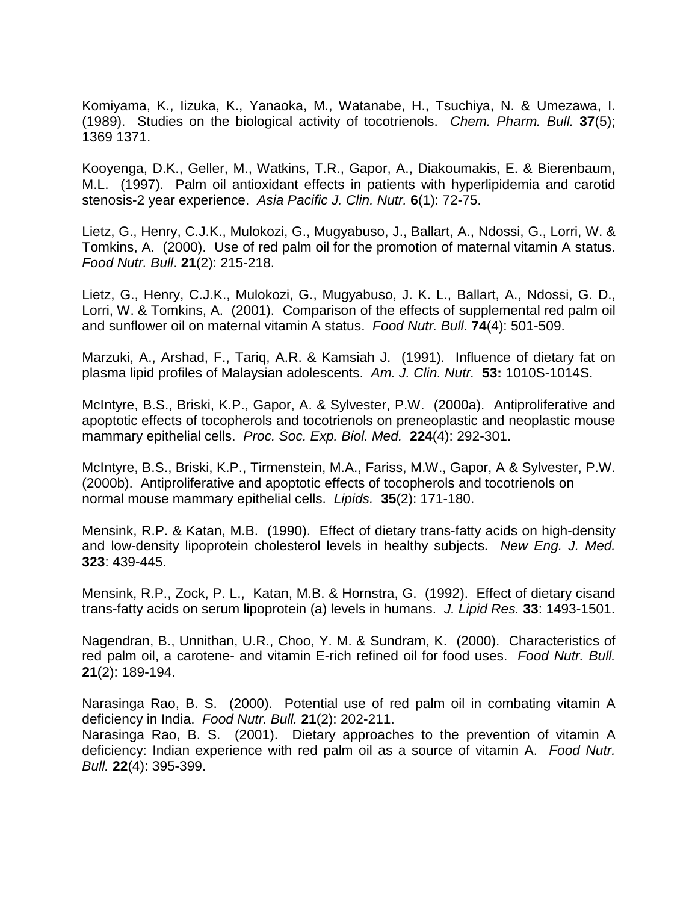Komiyama, K., Iizuka, K., Yanaoka, M., Watanabe, H., Tsuchiya, N. & Umezawa, I. (1989). Studies on the biological activity of tocotrienols. *Chem. Pharm. Bull.* **37**(5); 1369 1371.

Kooyenga, D.K., Geller, M., Watkins, T.R., Gapor, A., Diakoumakis, E. & Bierenbaum, M.L. (1997). Palm oil antioxidant effects in patients with hyperlipidemia and carotid stenosis-2 year experience. *Asia Pacific J. Clin. Nutr.* **6**(1): 72-75.

Lietz, G., Henry, C.J.K., Mulokozi, G., Mugyabuso, J., Ballart, A., Ndossi, G., Lorri, W. & Tomkins, A. (2000). Use of red palm oil for the promotion of maternal vitamin A status. *Food Nutr. Bull*. **21**(2): 215-218.

Lietz, G., Henry, C.J.K., Mulokozi, G., Mugyabuso, J. K. L., Ballart, A., Ndossi, G. D., Lorri, W. & Tomkins, A. (2001). Comparison of the effects of supplemental red palm oil and sunflower oil on maternal vitamin A status. *Food Nutr. Bull*. **74**(4): 501-509.

Marzuki, A., Arshad, F., Tariq, A.R. & Kamsiah J. (1991). Influence of dietary fat on plasma lipid profiles of Malaysian adolescents. *Am. J. Clin. Nutr.* **53:** 1010S-1014S.

McIntyre, B.S., Briski, K.P., Gapor, A. & Sylvester, P.W. (2000a). Antiproliferative and apoptotic effects of tocopherols and tocotrienols on preneoplastic and neoplastic mouse mammary epithelial cells. *Proc. Soc. Exp. Biol. Med.* **224**(4): 292-301.

McIntyre, B.S., Briski, K.P., Tirmenstein, M.A., Fariss, M.W., Gapor, A & Sylvester, P.W. (2000b). Antiproliferative and apoptotic effects of tocopherols and tocotrienols on normal mouse mammary epithelial cells. *Lipids.* **35**(2): 171-180.

Mensink, R.P. & Katan, M.B. (1990). Effect of dietary trans-fatty acids on high-density and low-density lipoprotein cholesterol levels in healthy subjects. *New Eng. J. Med.* **323**: 439-445.

Mensink, R.P., Zock, P. L., Katan, M.B. & Hornstra, G. (1992). Effect of dietary cisand trans-fatty acids on serum lipoprotein (a) levels in humans. *J. Lipid Res.* **33**: 1493-1501.

Nagendran, B., Unnithan, U.R., Choo, Y. M. & Sundram, K. (2000). Characteristics of red palm oil, a carotene- and vitamin E-rich refined oil for food uses. *Food Nutr. Bull.* **21**(2): 189-194.

Narasinga Rao, B. S. (2000). Potential use of red palm oil in combating vitamin A deficiency in India. *Food Nutr. Bull.* **21**(2): 202-211.

Narasinga Rao, B. S. (2001). Dietary approaches to the prevention of vitamin A deficiency: Indian experience with red palm oil as a source of vitamin A. *Food Nutr. Bull.* **22**(4): 395-399.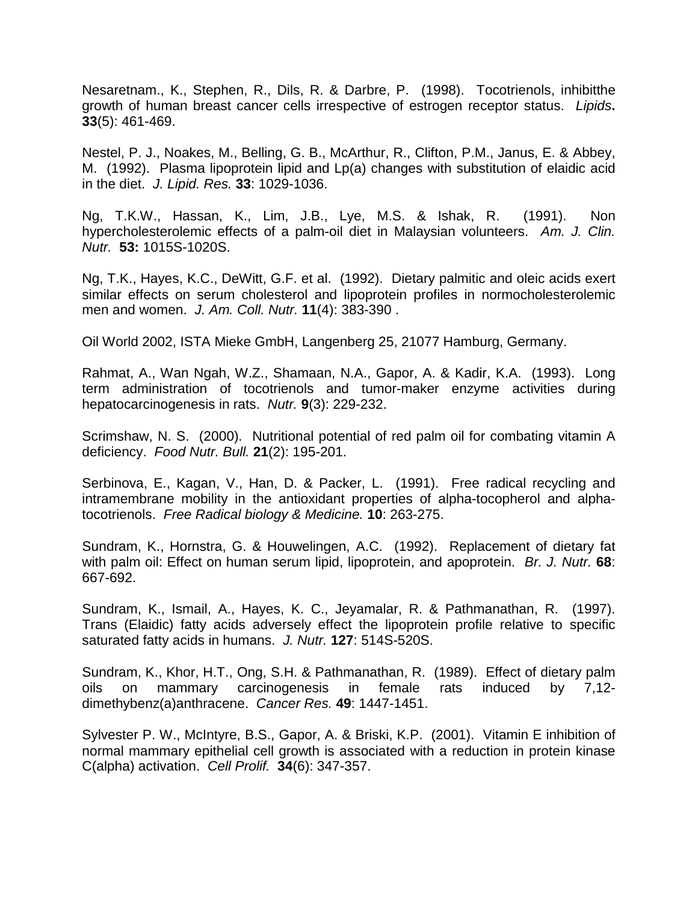Nesaretnam., K., Stephen, R., Dils, R. & Darbre, P. (1998). Tocotrienols, inhibitthe growth of human breast cancer cells irrespective of estrogen receptor status. *Lipids***. 33**(5): 461-469.

Nestel, P. J., Noakes, M., Belling, G. B., McArthur, R., Clifton, P.M., Janus, E. & Abbey, M. (1992). Plasma lipoprotein lipid and Lp(a) changes with substitution of elaidic acid in the diet. *J. Lipid. Res.* **33**: 1029-1036.

Ng, T.K.W., Hassan, K., Lim, J.B., Lye, M.S. & Ishak, R. (1991). Non hypercholesterolemic effects of a palm-oil diet in Malaysian volunteers. *Am. J. Clin. Nutr.* **53:** 1015S-1020S.

Ng, T.K., Hayes, K.C., DeWitt, G.F. et al. (1992). Dietary palmitic and oleic acids exert similar effects on serum cholesterol and lipoprotein profiles in normocholesterolemic men and women. *J. Am. Coll. Nutr.* **11**(4): 383-390 .

Oil World 2002, ISTA Mieke GmbH, Langenberg 25, 21077 Hamburg, Germany.

Rahmat, A., Wan Ngah, W.Z., Shamaan, N.A., Gapor, A. & Kadir, K.A. (1993). Long term administration of tocotrienols and tumor-maker enzyme activities during hepatocarcinogenesis in rats. *Nutr.* **9**(3): 229-232.

Scrimshaw, N. S. (2000). Nutritional potential of red palm oil for combating vitamin A deficiency. *Food Nutr. Bull.* **21**(2): 195-201.

Serbinova, E., Kagan, V., Han, D. & Packer, L. (1991). Free radical recycling and intramembrane mobility in the antioxidant properties of alpha-tocopherol and alphatocotrienols. *Free Radical biology & Medicine.* **10**: 263-275.

Sundram, K., Hornstra, G. & Houwelingen, A.C. (1992). Replacement of dietary fat with palm oil: Effect on human serum lipid, lipoprotein, and apoprotein. *Br. J. Nutr.* **68**: 667-692.

Sundram, K., Ismail, A., Hayes, K. C., Jeyamalar, R. & Pathmanathan, R. (1997). Trans (Elaidic) fatty acids adversely effect the lipoprotein profile relative to specific saturated fatty acids in humans. *J. Nutr.* **127**: 514S-520S.

Sundram, K., Khor, H.T., Ong, S.H. & Pathmanathan, R. (1989). Effect of dietary palm oils on mammary carcinogenesis in female rats induced by 7,12 dimethybenz(a)anthracene. *Cancer Res.* **49**: 1447-1451.

Sylvester P. W., McIntyre, B.S., Gapor, A. & Briski, K.P. (2001). Vitamin E inhibition of normal mammary epithelial cell growth is associated with a reduction in protein kinase C(alpha) activation. *Cell Prolif.* **34**(6): 347-357.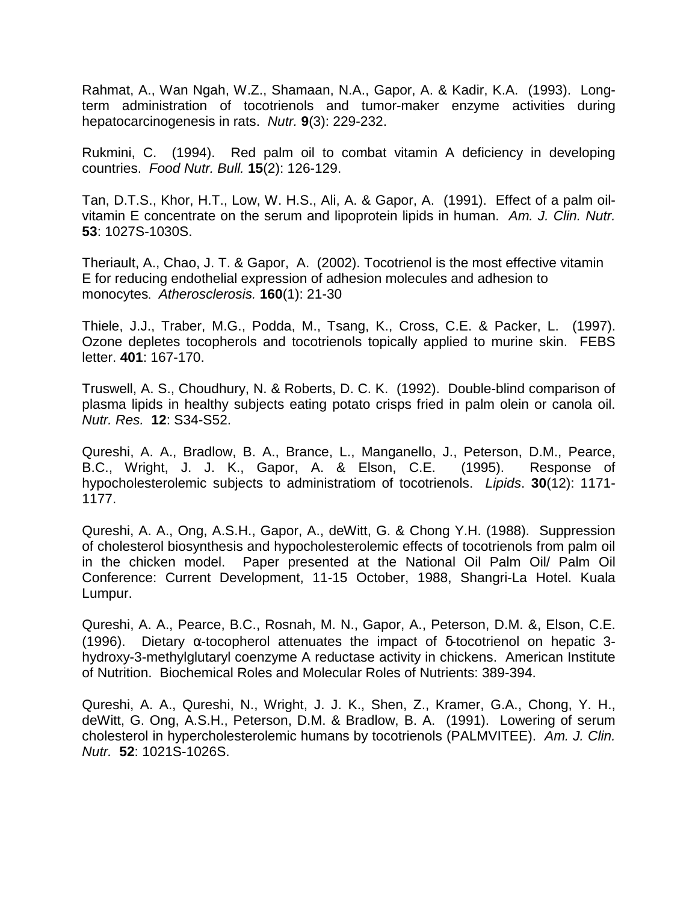Rahmat, A., Wan Ngah, W.Z., Shamaan, N.A., Gapor, A. & Kadir, K.A. (1993). Longterm administration of tocotrienols and tumor-maker enzyme activities during hepatocarcinogenesis in rats. *Nutr.* **9**(3): 229-232.

Rukmini, C. (1994). Red palm oil to combat vitamin A deficiency in developing countries. *Food Nutr. Bull.* **15**(2): 126-129.

Tan, D.T.S., Khor, H.T., Low, W. H.S., Ali, A. & Gapor, A. (1991). Effect of a palm oilvitamin E concentrate on the serum and lipoprotein lipids in human. *Am. J. Clin. Nutr.* **53**: 1027S-1030S.

Theriault, A., Chao, J. T. & Gapor, A. (2002). Tocotrienol is the most effective vitamin E for reducing endothelial expression of adhesion molecules and adhesion to monocytes. *Atherosclerosis.* **160**(1): 21-30

Thiele, J.J., Traber, M.G., Podda, M., Tsang, K., Cross, C.E. & Packer, L. (1997). Ozone depletes tocopherols and tocotrienols topically applied to murine skin. FEBS letter. **401**: 167-170.

Truswell, A. S., Choudhury, N. & Roberts, D. C. K. (1992). Double-blind comparison of plasma lipids in healthy subjects eating potato crisps fried in palm olein or canola oil. *Nutr. Res.* **12**: S34-S52.

Qureshi, A. A., Bradlow, B. A., Brance, L., Manganello, J., Peterson, D.M., Pearce, B.C., Wright, J. J. K., Gapor, A. & Elson, C.E. (1995). Response of hypocholesterolemic subjects to administratiom of tocotrienols. *Lipids*. **30**(12): 1171- 1177.

Qureshi, A. A., Ong, A.S.H., Gapor, A., deWitt, G. & Chong Y.H. (1988). Suppression of cholesterol biosynthesis and hypocholesterolemic effects of tocotrienols from palm oil in the chicken model. Paper presented at the National Oil Palm Oil/ Palm Oil Conference: Current Development, 11-15 October, 1988, Shangri-La Hotel. Kuala Lumpur.

Qureshi, A. A., Pearce, B.C., Rosnah, M. N., Gapor, A., Peterson, D.M. &, Elson, C.E. (1996). Dietary α-tocopherol attenuates the impact of δ-tocotrienol on hepatic 3 hydroxy-3-methylglutaryl coenzyme A reductase activity in chickens. American Institute of Nutrition. Biochemical Roles and Molecular Roles of Nutrients: 389-394.

Qureshi, A. A., Qureshi, N., Wright, J. J. K., Shen, Z., Kramer, G.A., Chong, Y. H., deWitt, G. Ong, A.S.H., Peterson, D.M. & Bradlow, B. A. (1991). Lowering of serum cholesterol in hypercholesterolemic humans by tocotrienols (PALMVITEE). *Am. J. Clin. Nutr.* **52**: 1021S-1026S.